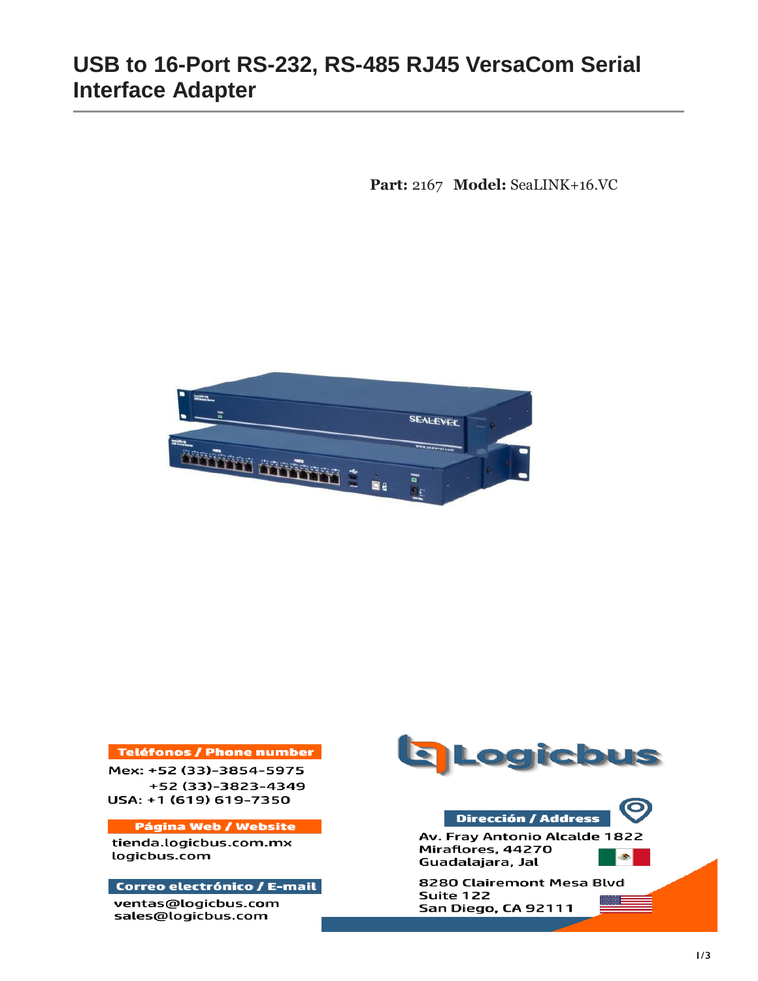# **USB to 16-Port RS-232, RS-485 RJ45 VersaCom Serial Interface Adapter**

**Part:** 2167 **Model:** SeaLINK+16.VC



### **Teléfonos / Phone number**

Mex: +52 (33)-3854-5975 +52 (33)-3823-4349 USA: +1 (619) 619-7350

#### **Página Web / Website**

tienda.logicbus.com.mx logicbus.com

#### Correo electrónico / E-mail

ventas@logicbus.com sales@logicbus.com





Av. Fray Antonio Alcalde 1822 Miraflores, 44270 S. Guadalajara, Jal

8280 Clairemont Mesa Blvd Suite 122 San Diego, CA 92111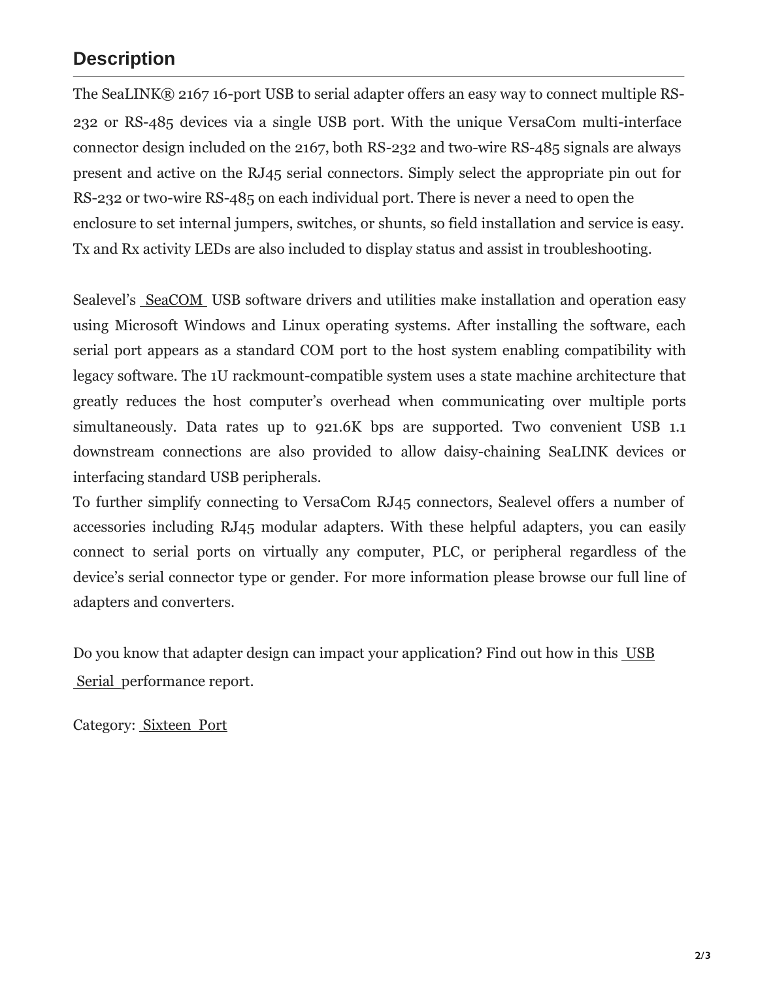### **Description**

The SeaLINK® 2167 16-port USB to serial adapter offers an easy way to connect multiple RS-232 or RS-485 devices via a single USB port. With the unique VersaCom multi-interface connector design included on the 2167, both RS-232 and two-wire RS-485 signals are always present and active on the RJ45 serial connectors. Simply select the appropriate pin out for RS-232 or two-wire RS-485 on each individual port. There is never a need to open the enclosure to set internal jumpers, switches, or shunts, so field installation and service is easy. Tx and Rx activity LEDs are also included to display status and assist in troubleshooting.

Sealevel's [SeaCOM US](https://www.sealevel.com/support/seacom-software-overview/)B software drivers and utilities make installation and operation easy using Microsoft Windows and Linux operating systems. After installing the software, each serial port appears as a standard COM port to the host system enabling compatibility with legacy software. The 1U rackmount-compatible system uses a state machine architecture that greatly reduces the host computer's overhead when communicating over multiple ports simultaneously. Data rates up to 921.6K bps are supported. Two convenient USB 1.1 downstream connections are also provided to allow daisy-chaining SeaLINK devices or interfacing standard USB peripherals.

To further simplify connecting to VersaCom RJ45 connectors, Sealevel offers a number of accessories including RJ45 modular adapters. With these helpful adapters, you can easily connect to serial ports on virtually any computer, PLC, or peripheral regardless of the device's serial connector type or gender. For more information please browse our full line of adapters and converters.

Do you know that adapter design can impact [your application? Find](https://www.sealevel.com/support/test-report-usb-to-serial-adapter-designs/) out how in this USB [Serial performance](https://www.sealevel.com/support/test-report-usb-to-serial-adapter-designs/) report.

Category: [Sixteen](https://www.sealevel.com/product-category/serial-i-o/usb-serial-adapters/sixteen-port/) Port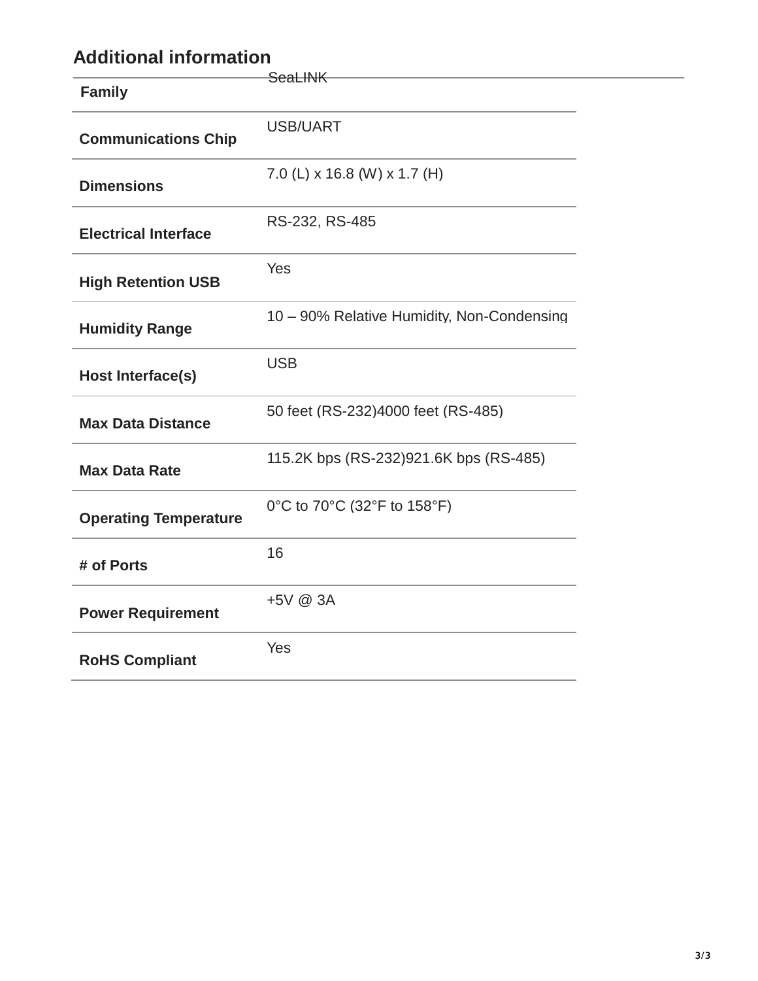# **Additional information**

|                              | <b>SeaLINK</b>                             |
|------------------------------|--------------------------------------------|
| <b>Family</b>                |                                            |
| <b>Communications Chip</b>   | <b>USB/UART</b>                            |
| <b>Dimensions</b>            | 7.0 (L) x 16.8 (W) x 1.7 (H)               |
| <b>Electrical Interface</b>  | RS-232, RS-485                             |
| <b>High Retention USB</b>    | Yes                                        |
| <b>Humidity Range</b>        | 10 - 90% Relative Humidity, Non-Condensing |
| <b>Host Interface(s)</b>     | <b>USB</b>                                 |
| <b>Max Data Distance</b>     | 50 feet (RS-232)4000 feet (RS-485)         |
| <b>Max Data Rate</b>         | 115.2K bps (RS-232)921.6K bps (RS-485)     |
| <b>Operating Temperature</b> | 0°C to 70°C (32°F to 158°F)                |
| # of Ports                   | 16                                         |
| <b>Power Requirement</b>     | +5V @ 3A                                   |
| <b>RoHS Compliant</b>        | Yes                                        |